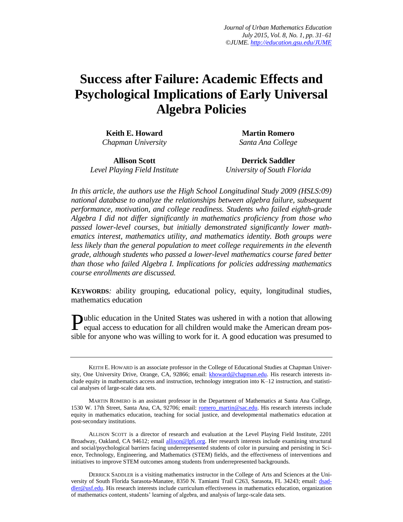# **Success after Failure: Academic Effects and Psychological Implications of Early Universal Algebra Policies**

**Keith E. Howard** *Chapman University*

**Martin Romero** *Santa Ana College*

**Allison Scott** *Level Playing Field Institute*

**Derrick Saddler** *University of South Florida*

*In this article, the authors use the High School Longitudinal Study 2009 (HSLS:09) national database to analyze the relationships between algebra failure, subsequent performance, motivation, and college readiness. Students who failed eighth-grade Algebra I did not differ significantly in mathematics proficiency from those who passed lower-level courses, but initially demonstrated significantly lower mathematics interest, mathematics utility, and mathematics identity. Both groups were less likely than the general population to meet college requirements in the eleventh grade, although students who passed a lower-level mathematics course fared better than those who failed Algebra I. Implications for policies addressing mathematics course enrollments are discussed.*

**KEYWORDS***:* ability grouping, educational policy, equity, longitudinal studies, mathematics education

Public education in the United States was ushered in with a notion that allowing equal access to education for all children would make the American dream pos- $\Gamma$  equal access to education for all children would make the American dream possible for anyone who was willing to work for it. A good education was presumed to

KEITH E. HOWARD is an associate professor in the College of Educational Studies at Chapman University, One University Drive, Orange, CA, 92866; email: [khoward@chapman.edu.](mailto:khoward@chapman.edu) His research interests include equity in mathematics access and instruction, technology integration into K–12 instruction, and statistical analyses of large-scale data sets.

MARTIN ROMERO is an assistant professor in the Department of Mathematics at Santa Ana College, 1530 W. 17th Street, Santa Ana, CA, 92706; email: [romero\\_martin@sac.edu.](mailto:romero_martin@sac.edu) His research interests include equity in mathematics education, teaching for social justice, and developmental mathematics education at post-secondary institutions.

ALLISON SCOTT is a director of research and evaluation at the Level Playing Field Institute, 2201 Broadway, Oakland, CA 94612; email [allison@lpfi.org.](mailto:allison@lpfi.org) Her research interests include examining structural and social/psychological barriers facing underrepresented students of color in pursuing and persisting in Science, Technology, Engineering, and Mathematics (STEM) fields, and the effectiveness of interventions and initiatives to improve STEM outcomes among students from underrepresented backgrounds.

DERRICK SADDLER is a visiting mathematics instructor in the College of Arts and Sciences at the University of South Florida Sarasota-Manatee, 8350 N. Tamiami Trail C263, Sarasota, FL 34243; email: [dsad](mailto:dsaddler@usf.edu)[dler@usf.edu.](mailto:dsaddler@usf.edu) His research interests include curriculum effectiveness in mathematics education, organization of mathematics content, students' learning of algebra, and analysis of large-scale data sets.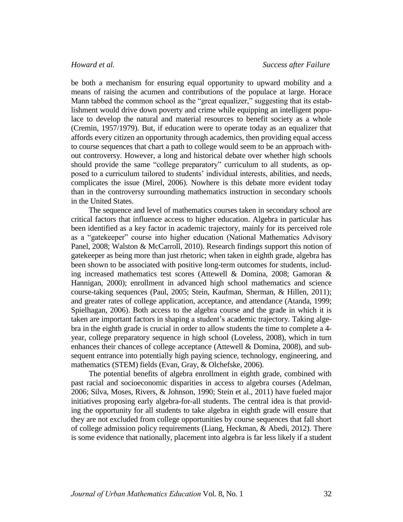be both a mechanism for ensuring equal opportunity to upward mobility and a means of raising the acumen and contributions of the populace at large. Horace Mann tabbed the common school as the "great equalizer," suggesting that its establishment would drive down poverty and crime while equipping an intelligent populace to develop the natural and material resources to benefit society as a whole (Cremin, 1957/1979). But, if education were to operate today as an equalizer that affords every citizen an opportunity through academics, then providing equal access to course sequences that chart a path to college would seem to be an approach without controversy. However, a long and historical debate over whether high schools should provide the same "college preparatory" curriculum to all students, as opposed to a curriculum tailored to students' individual interests, abilities, and needs, complicates the issue (Mirel, 2006). Nowhere is this debate more evident today than in the controversy surrounding mathematics instruction in secondary schools in the United States.

The sequence and level of mathematics courses taken in secondary school are critical factors that influence access to higher education. Algebra in particular has been identified as a key factor in academic trajectory, mainly for its perceived role as a "gatekeeper" course into higher education (National Mathematics Advisory Panel, 2008; Walston & McCarroll, 2010). Research findings support this notion of gatekeeper as being more than just rhetoric; when taken in eighth grade, algebra has been shown to be associated with positive long-term outcomes for students, including increased mathematics test scores (Attewell & Domina, 2008; Gamoran & Hannigan, 2000); enrollment in advanced high school mathematics and science course-taking sequences (Paul, 2005; Stein, Kaufman, Sherman, & Hillen, 2011); and greater rates of college application, acceptance, and attendance (Atanda, 1999; Spielhagan, 2006). Both access to the algebra course and the grade in which it is taken are important factors in shaping a student's academic trajectory. Taking algebra in the eighth grade is crucial in order to allow students the time to complete a 4 year, college preparatory sequence in high school (Loveless, 2008), which in turn enhances their chances of college acceptance (Attewell & Domina, 2008), and subsequent entrance into potentially high paying science, technology, engineering, and mathematics (STEM) fields (Evan, Gray, & Olchefske, 2006).

The potential benefits of algebra enrollment in eighth grade, combined with past racial and socioeconomic disparities in access to algebra courses (Adelman, 2006; Silva, Moses, Rivers, & Johnson, 1990; Stein et al., 2011) have fueled major initiatives proposing early algebra-for-all students. The central idea is that providing the opportunity for all students to take algebra in eighth grade will ensure that they are not excluded from college opportunities by course sequences that fall short of college admission policy requirements (Liang, Heckman, & Abedi, 2012). There is some evidence that nationally, placement into algebra is far less likely if a student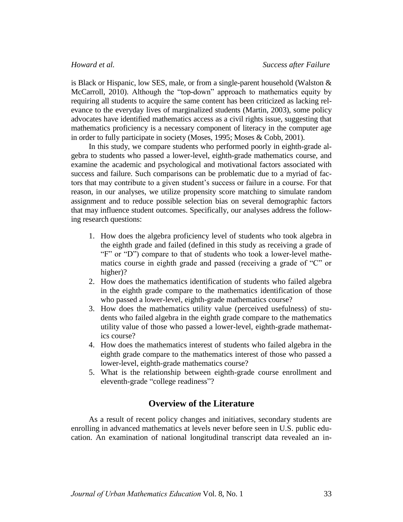is Black or Hispanic, low SES, male, or from a single-parent household (Walston & McCarroll, 2010). Although the "top-down" approach to mathematics equity by requiring all students to acquire the same content has been criticized as lacking relevance to the everyday lives of marginalized students (Martin, 2003), some policy advocates have identified mathematics access as a civil rights issue, suggesting that mathematics proficiency is a necessary component of literacy in the computer age in order to fully participate in society (Moses, 1995; Moses & Cobb, 2001).

In this study, we compare students who performed poorly in eighth-grade algebra to students who passed a lower-level, eighth-grade mathematics course, and examine the academic and psychological and motivational factors associated with success and failure. Such comparisons can be problematic due to a myriad of factors that may contribute to a given student's success or failure in a course. For that reason, in our analyses, we utilize propensity score matching to simulate random assignment and to reduce possible selection bias on several demographic factors that may influence student outcomes. Specifically, our analyses address the following research questions:

- 1. How does the algebra proficiency level of students who took algebra in the eighth grade and failed (defined in this study as receiving a grade of "F" or "D") compare to that of students who took a lower-level mathematics course in eighth grade and passed (receiving a grade of "C" or higher)?
- 2. How does the mathematics identification of students who failed algebra in the eighth grade compare to the mathematics identification of those who passed a lower-level, eighth-grade mathematics course?
- 3. How does the mathematics utility value (perceived usefulness) of students who failed algebra in the eighth grade compare to the mathematics utility value of those who passed a lower-level, eighth-grade mathematics course?
- 4. How does the mathematics interest of students who failed algebra in the eighth grade compare to the mathematics interest of those who passed a lower-level, eighth-grade mathematics course?
- 5. What is the relationship between eighth-grade course enrollment and eleventh-grade "college readiness"?

# **Overview of the Literature**

As a result of recent policy changes and initiatives, secondary students are enrolling in advanced mathematics at levels never before seen in U.S. public education. An examination of national longitudinal transcript data revealed an in-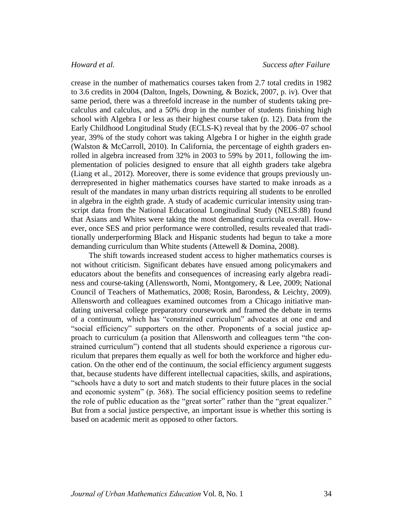crease in the number of mathematics courses taken from 2.7 total credits in 1982 to 3.6 credits in 2004 (Dalton, Ingels, Downing, & Bozick, 2007, p. iv). Over that same period, there was a threefold increase in the number of students taking precalculus and calculus, and a 50% drop in the number of students finishing high school with Algebra I or less as their highest course taken (p. 12). Data from the Early Childhood Longitudinal Study (ECLS-K) reveal that by the 2006–07 school year, 39% of the study cohort was taking Algebra I or higher in the eighth grade (Walston & McCarroll, 2010). In California, the percentage of eighth graders enrolled in algebra increased from 32% in 2003 to 59% by 2011, following the implementation of policies designed to ensure that all eighth graders take algebra (Liang et al., 2012). Moreover, there is some evidence that groups previously underrepresented in higher mathematics courses have started to make inroads as a result of the mandates in many urban districts requiring all students to be enrolled in algebra in the eighth grade. A study of academic curricular intensity using transcript data from the National Educational Longitudinal Study (NELS:88) found that Asians and Whites were taking the most demanding curricula overall. However, once SES and prior performance were controlled, results revealed that traditionally underperforming Black and Hispanic students had begun to take a more demanding curriculum than White students (Attewell & Domina, 2008).

The shift towards increased student access to higher mathematics courses is not without criticism. Significant debates have ensued among policymakers and educators about the benefits and consequences of increasing early algebra readiness and course-taking (Allensworth, Nomi, Montgomery, & Lee, 2009; National Council of Teachers of Mathematics, 2008; Rosin, Barondess, & Leichty, 2009). Allensworth and colleagues examined outcomes from a Chicago initiative mandating universal college preparatory coursework and framed the debate in terms of a continuum, which has "constrained curriculum" advocates at one end and "social efficiency" supporters on the other. Proponents of a social justice approach to curriculum (a position that Allensworth and colleagues term "the constrained curriculum") contend that all students should experience a rigorous curriculum that prepares them equally as well for both the workforce and higher education. On the other end of the continuum, the social efficiency argument suggests that, because students have different intellectual capacities, skills, and aspirations, "schools have a duty to sort and match students to their future places in the social and economic system" (p. 368). The social efficiency position seems to redefine the role of public education as the "great sorter" rather than the "great equalizer." But from a social justice perspective, an important issue is whether this sorting is based on academic merit as opposed to other factors.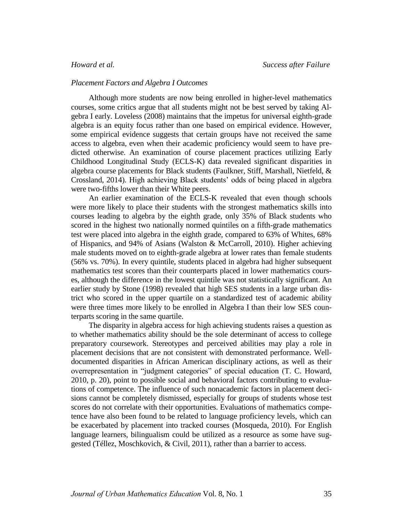# *Placement Factors and Algebra I Outcomes*

Although more students are now being enrolled in higher-level mathematics courses, some critics argue that all students might not be best served by taking Algebra I early. Loveless (2008) maintains that the impetus for universal eighth-grade algebra is an equity focus rather than one based on empirical evidence. However, some empirical evidence suggests that certain groups have not received the same access to algebra, even when their academic proficiency would seem to have predicted otherwise. An examination of course placement practices utilizing Early Childhood Longitudinal Study (ECLS-K) data revealed significant disparities in algebra course placements for Black students (Faulkner, Stiff, Marshall, Nietfeld, & Crossland, 2014). High achieving Black students' odds of being placed in algebra were two-fifths lower than their White peers.

An earlier examination of the ECLS-K revealed that even though schools were more likely to place their students with the strongest mathematics skills into courses leading to algebra by the eighth grade, only 35% of Black students who scored in the highest two nationally normed quintiles on a fifth-grade mathematics test were placed into algebra in the eighth grade, compared to 63% of Whites, 68% of Hispanics, and 94% of Asians (Walston & McCarroll, 2010). Higher achieving male students moved on to eighth-grade algebra at lower rates than female students (56% vs. 70%). In every quintile, students placed in algebra had higher subsequent mathematics test scores than their counterparts placed in lower mathematics courses, although the difference in the lowest quintile was not statistically significant. An earlier study by Stone (1998) revealed that high SES students in a large urban district who scored in the upper quartile on a standardized test of academic ability were three times more likely to be enrolled in Algebra I than their low SES counterparts scoring in the same quartile.

The disparity in algebra access for high achieving students raises a question as to whether mathematics ability should be the sole determinant of access to college preparatory coursework. Stereotypes and perceived abilities may play a role in placement decisions that are not consistent with demonstrated performance. Welldocumented disparities in African American disciplinary actions, as well as their overrepresentation in "judgment categories" of special education (T. C. Howard, 2010, p. 20), point to possible social and behavioral factors contributing to evaluations of competence. The influence of such nonacademic factors in placement decisions cannot be completely dismissed, especially for groups of students whose test scores do not correlate with their opportunities. Evaluations of mathematics competence have also been found to be related to language proficiency levels, which can be exacerbated by placement into tracked courses (Mosqueda, 2010). For English language learners, bilingualism could be utilized as a resource as some have suggested (Téllez, Moschkovich, & Civil, 2011), rather than a barrier to access.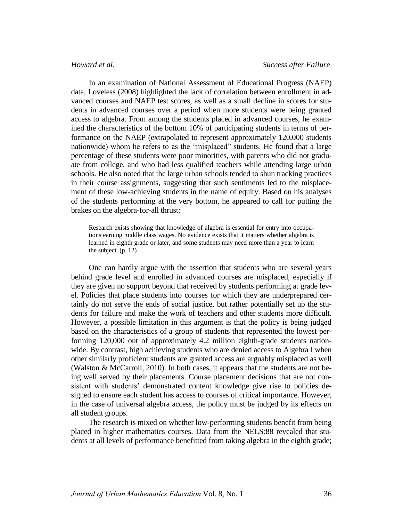In an examination of National Assessment of Educational Progress (NAEP) data, Loveless (2008) highlighted the lack of correlation between enrollment in advanced courses and NAEP test scores, as well as a small decline in scores for students in advanced courses over a period when more students were being granted access to algebra. From among the students placed in advanced courses, he examined the characteristics of the bottom 10% of participating students in terms of performance on the NAEP (extrapolated to represent approximately 120,000 students nationwide) whom he refers to as the "misplaced" students. He found that a large percentage of these students were poor minorities, with parents who did not graduate from college, and who had less qualified teachers while attending large urban schools. He also noted that the large urban schools tended to shun tracking practices in their course assignments, suggesting that such sentiments led to the misplacement of these low-achieving students in the name of equity. Based on his analyses of the students performing at the very bottom, he appeared to call for putting the brakes on the algebra-for-all thrust:

Research exists showing that knowledge of algebra is essential for entry into occupations earning middle class wages. No evidence exists that it matters whether algebra is learned in eighth grade or later, and some students may need more than a year to learn the subject. (p. 12)

One can hardly argue with the assertion that students who are several years behind grade level and enrolled in advanced courses are misplaced, especially if they are given no support beyond that received by students performing at grade level. Policies that place students into courses for which they are underprepared certainly do not serve the ends of social justice, but rather potentially set up the students for failure and make the work of teachers and other students more difficult. However, a possible limitation in this argument is that the policy is being judged based on the characteristics of a group of students that represented the lowest performing 120,000 out of approximately 4.2 million eighth-grade students nationwide. By contrast, high achieving students who are denied access to Algebra I when other similarly proficient students are granted access are arguably misplaced as well (Walston & McCarroll, 2010). In both cases, it appears that the students are not being well served by their placements. Course placement decisions that are not consistent with students' demonstrated content knowledge give rise to policies designed to ensure each student has access to courses of critical importance. However, in the case of universal algebra access, the policy must be judged by its effects on all student groups.

The research is mixed on whether low-performing students benefit from being placed in higher mathematics courses. Data from the NELS:88 revealed that students at all levels of performance benefitted from taking algebra in the eighth grade;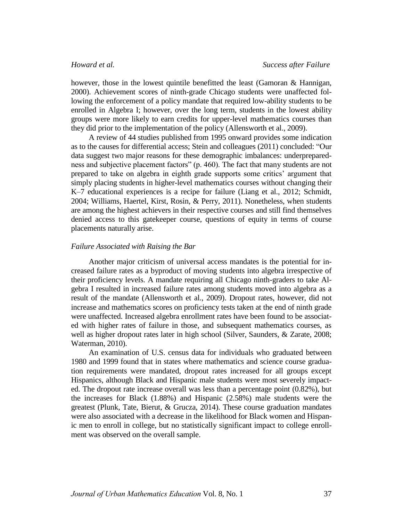however, those in the lowest quintile benefitted the least (Gamoran & Hannigan, 2000). Achievement scores of ninth-grade Chicago students were unaffected following the enforcement of a policy mandate that required low-ability students to be enrolled in Algebra I; however, over the long term, students in the lowest ability groups were more likely to earn credits for upper-level mathematics courses than they did prior to the implementation of the policy (Allensworth et al., 2009).

A review of 44 studies published from 1995 onward provides some indication as to the causes for differential access; Stein and colleagues (2011) concluded: "Our data suggest two major reasons for these demographic imbalances: underpreparedness and subjective placement factors" (p. 460). The fact that many students are not prepared to take on algebra in eighth grade supports some critics' argument that simply placing students in higher-level mathematics courses without changing their K–7 educational experiences is a recipe for failure (Liang et al., 2012; Schmidt, 2004; Williams, Haertel, Kirst, Rosin, & Perry, 2011). Nonetheless, when students are among the highest achievers in their respective courses and still find themselves denied access to this gatekeeper course, questions of equity in terms of course placements naturally arise.

### *Failure Associated with Raising the Bar*

Another major criticism of universal access mandates is the potential for increased failure rates as a byproduct of moving students into algebra irrespective of their proficiency levels. A mandate requiring all Chicago ninth-graders to take Algebra I resulted in increased failure rates among students moved into algebra as a result of the mandate (Allensworth et al., 2009). Dropout rates, however, did not increase and mathematics scores on proficiency tests taken at the end of ninth grade were unaffected. Increased algebra enrollment rates have been found to be associated with higher rates of failure in those, and subsequent mathematics courses, as well as higher dropout rates later in high school (Silver, Saunders, & Zarate, 2008; Waterman, 2010).

An examination of U.S. census data for individuals who graduated between 1980 and 1999 found that in states where mathematics and science course graduation requirements were mandated, dropout rates increased for all groups except Hispanics, although Black and Hispanic male students were most severely impacted. The dropout rate increase overall was less than a percentage point (0.82%), but the increases for Black (1.88%) and Hispanic (2.58%) male students were the greatest (Plunk, Tate, Bierut, & Grucza, 2014). These course graduation mandates were also associated with a decrease in the likelihood for Black women and Hispanic men to enroll in college, but no statistically significant impact to college enrollment was observed on the overall sample.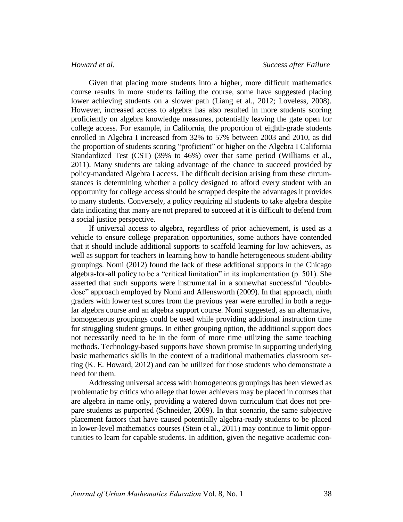Given that placing more students into a higher, more difficult mathematics course results in more students failing the course, some have suggested placing lower achieving students on a slower path (Liang et al., 2012; Loveless, 2008). However, increased access to algebra has also resulted in more students scoring proficiently on algebra knowledge measures, potentially leaving the gate open for college access. For example, in California, the proportion of eighth-grade students enrolled in Algebra I increased from 32% to 57% between 2003 and 2010, as did the proportion of students scoring "proficient" or higher on the Algebra I California Standardized Test (CST) (39% to 46%) over that same period (Williams et al., 2011). Many students are taking advantage of the chance to succeed provided by policy-mandated Algebra I access. The difficult decision arising from these circumstances is determining whether a policy designed to afford every student with an opportunity for college access should be scrapped despite the advantages it provides to many students. Conversely, a policy requiring all students to take algebra despite data indicating that many are not prepared to succeed at it is difficult to defend from a social justice perspective.

If universal access to algebra, regardless of prior achievement, is used as a vehicle to ensure college preparation opportunities, some authors have contended that it should include additional supports to scaffold learning for low achievers, as well as support for teachers in learning how to handle heterogeneous student-ability groupings. Nomi (2012) found the lack of these additional supports in the Chicago algebra-for-all policy to be a "critical limitation" in its implementation (p. 501). She asserted that such supports were instrumental in a somewhat successful "doubledose" approach employed by Nomi and Allensworth (2009). In that approach, ninth graders with lower test scores from the previous year were enrolled in both a regular algebra course and an algebra support course. Nomi suggested, as an alternative, homogeneous groupings could be used while providing additional instruction time for struggling student groups. In either grouping option, the additional support does not necessarily need to be in the form of more time utilizing the same teaching methods. Technology-based supports have shown promise in supporting underlying basic mathematics skills in the context of a traditional mathematics classroom setting (K. E. Howard, 2012) and can be utilized for those students who demonstrate a need for them.

Addressing universal access with homogeneous groupings has been viewed as problematic by critics who allege that lower achievers may be placed in courses that are algebra in name only, providing a watered down curriculum that does not prepare students as purported (Schneider, 2009). In that scenario, the same subjective placement factors that have caused potentially algebra-ready students to be placed in lower-level mathematics courses (Stein et al., 2011) may continue to limit opportunities to learn for capable students. In addition, given the negative academic con-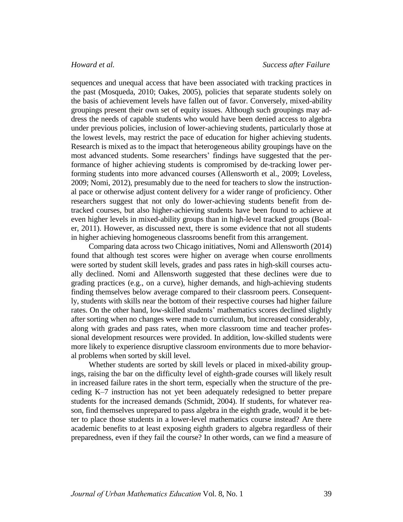sequences and unequal access that have been associated with tracking practices in the past (Mosqueda, 2010; Oakes, 2005), policies that separate students solely on the basis of achievement levels have fallen out of favor. Conversely, mixed-ability groupings present their own set of equity issues. Although such groupings may address the needs of capable students who would have been denied access to algebra under previous policies, inclusion of lower-achieving students, particularly those at the lowest levels, may restrict the pace of education for higher achieving students. Research is mixed as to the impact that heterogeneous ability groupings have on the most advanced students. Some researchers' findings have suggested that the performance of higher achieving students is compromised by de-tracking lower performing students into more advanced courses (Allensworth et al., 2009; Loveless, 2009; Nomi, 2012), presumably due to the need for teachers to slow the instructional pace or otherwise adjust content delivery for a wider range of proficiency. Other researchers suggest that not only do lower-achieving students benefit from detracked courses, but also higher-achieving students have been found to achieve at even higher levels in mixed-ability groups than in high-level tracked groups (Boaler, 2011). However, as discussed next, there is some evidence that not all students in higher achieving homogeneous classrooms benefit from this arrangement.

Comparing data across two Chicago initiatives, Nomi and Allensworth (2014) found that although test scores were higher on average when course enrollments were sorted by student skill levels, grades and pass rates in high-skill courses actually declined. Nomi and Allensworth suggested that these declines were due to grading practices (e.g., on a curve), higher demands, and high-achieving students finding themselves below average compared to their classroom peers. Consequently, students with skills near the bottom of their respective courses had higher failure rates. On the other hand, low-skilled students' mathematics scores declined slightly after sorting when no changes were made to curriculum, but increased considerably, along with grades and pass rates, when more classroom time and teacher professional development resources were provided. In addition, low-skilled students were more likely to experience disruptive classroom environments due to more behavioral problems when sorted by skill level.

Whether students are sorted by skill levels or placed in mixed-ability groupings, raising the bar on the difficulty level of eighth-grade courses will likely result in increased failure rates in the short term, especially when the structure of the preceding K–7 instruction has not yet been adequately redesigned to better prepare students for the increased demands (Schmidt, 2004). If students, for whatever reason, find themselves unprepared to pass algebra in the eighth grade, would it be better to place those students in a lower-level mathematics course instead? Are there academic benefits to at least exposing eighth graders to algebra regardless of their preparedness, even if they fail the course? In other words, can we find a measure of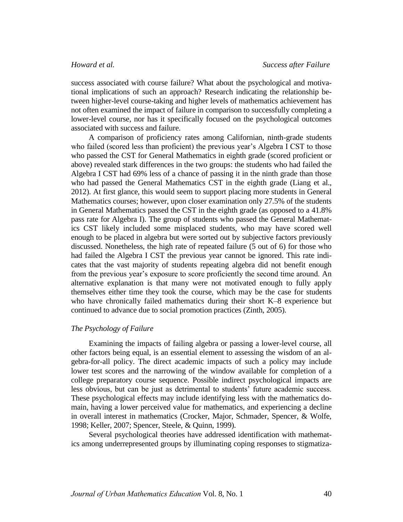success associated with course failure? What about the psychological and motivational implications of such an approach? Research indicating the relationship between higher-level course-taking and higher levels of mathematics achievement has not often examined the impact of failure in comparison to successfully completing a lower-level course, nor has it specifically focused on the psychological outcomes associated with success and failure.

A comparison of proficiency rates among Californian, ninth-grade students who failed (scored less than proficient) the previous year's Algebra I CST to those who passed the CST for General Mathematics in eighth grade (scored proficient or above) revealed stark differences in the two groups: the students who had failed the Algebra I CST had 69% less of a chance of passing it in the ninth grade than those who had passed the General Mathematics CST in the eighth grade (Liang et al., 2012). At first glance, this would seem to support placing more students in General Mathematics courses; however, upon closer examination only 27.5% of the students in General Mathematics passed the CST in the eighth grade (as opposed to a 41.8% pass rate for Algebra I). The group of students who passed the General Mathematics CST likely included some misplaced students, who may have scored well enough to be placed in algebra but were sorted out by subjective factors previously discussed. Nonetheless, the high rate of repeated failure (5 out of 6) for those who had failed the Algebra I CST the previous year cannot be ignored. This rate indicates that the vast majority of students repeating algebra did not benefit enough from the previous year's exposure to score proficiently the second time around. An alternative explanation is that many were not motivated enough to fully apply themselves either time they took the course, which may be the case for students who have chronically failed mathematics during their short K–8 experience but continued to advance due to social promotion practices (Zinth, 2005).

### *The Psychology of Failure*

Examining the impacts of failing algebra or passing a lower-level course, all other factors being equal, is an essential element to assessing the wisdom of an algebra-for-all policy. The direct academic impacts of such a policy may include lower test scores and the narrowing of the window available for completion of a college preparatory course sequence. Possible indirect psychological impacts are less obvious, but can be just as detrimental to students' future academic success. These psychological effects may include identifying less with the mathematics domain, having a lower perceived value for mathematics, and experiencing a decline in overall interest in mathematics (Crocker, Major, Schmader, Spencer, & Wolfe, 1998; Keller, 2007; Spencer, Steele, & Quinn, 1999).

Several psychological theories have addressed identification with mathematics among underrepresented groups by illuminating coping responses to stigmatiza-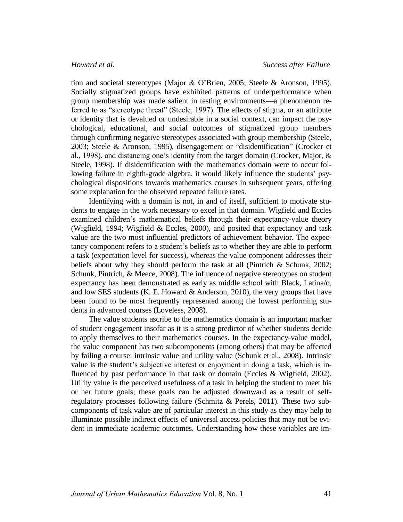tion and societal stereotypes (Major & O'Brien, 2005; Steele & Aronson, 1995). Socially stigmatized groups have exhibited patterns of underperformance when group membership was made salient in testing environments—a phenomenon referred to as "stereotype threat" (Steele, 1997). The effects of stigma, or an attribute or identity that is devalued or undesirable in a social context, can impact the psychological, educational, and social outcomes of stigmatized group members through confirming negative stereotypes associated with group membership (Steele, 2003; Steele & Aronson, 1995), disengagement or "disidentification" (Crocker et al., 1998), and distancing one's identity from the target domain (Crocker, Major, & Steele, 1998). If disidentification with the mathematics domain were to occur following failure in eighth-grade algebra, it would likely influence the students' psychological dispositions towards mathematics courses in subsequent years, offering some explanation for the observed repeated failure rates.

Identifying with a domain is not, in and of itself, sufficient to motivate students to engage in the work necessary to excel in that domain. Wigfield and Eccles examined children's mathematical beliefs through their expectancy-value theory (Wigfield, 1994; Wigfield & Eccles, 2000), and posited that expectancy and task value are the two most influential predictors of achievement behavior. The expectancy component refers to a student's beliefs as to whether they are able to perform a task (expectation level for success), whereas the value component addresses their beliefs about why they should perform the task at all (Pintrich & Schunk, 2002; Schunk, Pintrich, & Meece, 2008). The influence of negative stereotypes on student expectancy has been demonstrated as early as middle school with Black, Latina/o, and low SES students (K. E. Howard  $&$  Anderson, 2010), the very groups that have been found to be most frequently represented among the lowest performing students in advanced courses (Loveless, 2008).

The value students ascribe to the mathematics domain is an important marker of student engagement insofar as it is a strong predictor of whether students decide to apply themselves to their mathematics courses. In the expectancy-value model, the value component has two subcomponents (among others) that may be affected by failing a course: intrinsic value and utility value (Schunk et al., 2008). Intrinsic value is the student's subjective interest or enjoyment in doing a task, which is influenced by past performance in that task or domain (Eccles & Wigfield, 2002). Utility value is the perceived usefulness of a task in helping the student to meet his or her future goals; these goals can be adjusted downward as a result of selfregulatory processes following failure (Schmitz & Perels, 2011). These two subcomponents of task value are of particular interest in this study as they may help to illuminate possible indirect effects of universal access policies that may not be evident in immediate academic outcomes. Understanding how these variables are im-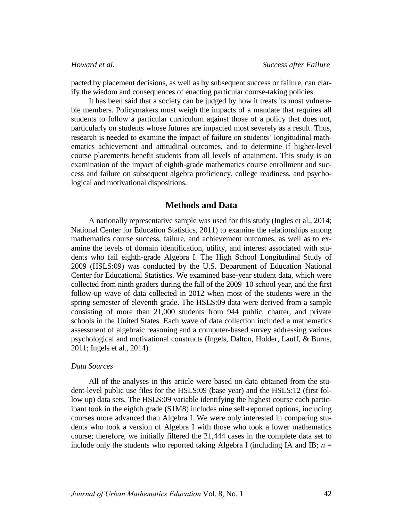pacted by placement decisions, as well as by subsequent success or failure, can clarify the wisdom and consequences of enacting particular course-taking policies.

It has been said that a society can be judged by how it treats its most vulnerable members. Policymakers must weigh the impacts of a mandate that requires all students to follow a particular curriculum against those of a policy that does not, particularly on students whose futures are impacted most severely as a result. Thus, research is needed to examine the impact of failure on students' longitudinal mathematics achievement and attitudinal outcomes, and to determine if higher-level course placements benefit students from all levels of attainment. This study is an examination of the impact of eighth-grade mathematics course enrollment and success and failure on subsequent algebra proficiency, college readiness, and psychological and motivational dispositions.

# **Methods and Data**

A nationally representative sample was used for this study (Ingles et al., 2014; National Center for Education Statistics, 2011) to examine the relationships among mathematics course success, failure, and achievement outcomes, as well as to examine the levels of domain identification, utility, and interest associated with students who fail eighth-grade Algebra I. The High School Longitudinal Study of 2009 (HSLS:09) was conducted by the U.S. Department of Education National Center for Educational Statistics. We examined base-year student data, which were collected from ninth graders during the fall of the 2009–10 school year, and the first follow-up wave of data collected in 2012 when most of the students were in the spring semester of eleventh grade. The HSLS:09 data were derived from a sample consisting of more than 21,000 students from 944 public, charter, and private schools in the United States. Each wave of data collection included a mathematics assessment of algebraic reasoning and a computer-based survey addressing various psychological and motivational constructs (Ingels, Dalton, Holder, Lauff, & Burns, 2011; Ingels et al., 2014).

# *Data Sources*

All of the analyses in this article were based on data obtained from the student-level public use files for the HSLS:09 (base year) and the HSLS:12 (first follow up) data sets. The HSLS:09 variable identifying the highest course each participant took in the eighth grade (S1M8) includes nine self-reported options, including courses more advanced than Algebra I. We were only interested in comparing students who took a version of Algebra I with those who took a lower mathematics course; therefore, we initially filtered the 21,444 cases in the complete data set to include only the students who reported taking Algebra I (including IA and IB;  $n =$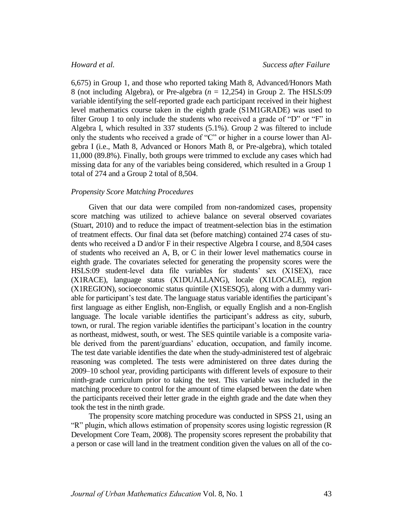6,675) in Group 1, and those who reported taking Math 8, Advanced/Honors Math 8 (not including Algebra), or Pre-algebra  $(n = 12,254)$  in Group 2. The HSLS:09 variable identifying the self-reported grade each participant received in their highest level mathematics course taken in the eighth grade (S1M1GRADE) was used to filter Group 1 to only include the students who received a grade of "D" or "F" in Algebra I, which resulted in 337 students (5.1%). Group 2 was filtered to include only the students who received a grade of "C" or higher in a course lower than Algebra I (i.e., Math 8, Advanced or Honors Math 8, or Pre-algebra), which totaled 11,000 (89.8%). Finally, both groups were trimmed to exclude any cases which had missing data for any of the variables being considered, which resulted in a Group 1 total of 274 and a Group 2 total of 8,504.

# *Propensity Score Matching Procedures*

Given that our data were compiled from non-randomized cases, propensity score matching was utilized to achieve balance on several observed covariates (Stuart, 2010) and to reduce the impact of treatment-selection bias in the estimation of treatment effects. Our final data set (before matching) contained 274 cases of students who received a D and/or F in their respective Algebra I course, and 8,504 cases of students who received an A, B, or C in their lower level mathematics course in eighth grade. The covariates selected for generating the propensity scores were the HSLS:09 student-level data file variables for students' sex (X1SEX), race (X1RACE), language status (X1DUALLANG), locale (X1LOCALE), region (X1REGION), socioeconomic status quintile (X1SESQ5), along with a dummy variable for participant's test date. The language status variable identifies the participant's first language as either English, non-English, or equally English and a non-English language. The locale variable identifies the participant's address as city, suburb, town, or rural. The region variable identifies the participant's location in the country as northeast, midwest, south, or west. The SES quintile variable is a composite variable derived from the parent/guardians' education, occupation, and family income. The test date variable identifies the date when the study-administered test of algebraic reasoning was completed. The tests were administered on three dates during the 2009–10 school year, providing participants with different levels of exposure to their ninth-grade curriculum prior to taking the test. This variable was included in the matching procedure to control for the amount of time elapsed between the date when the participants received their letter grade in the eighth grade and the date when they took the test in the ninth grade.

The propensity score matching procedure was conducted in SPSS 21, using an "R" plugin, which allows estimation of propensity scores using logistic regression (R Development Core Team, 2008). The propensity scores represent the probability that a person or case will land in the treatment condition given the values on all of the co-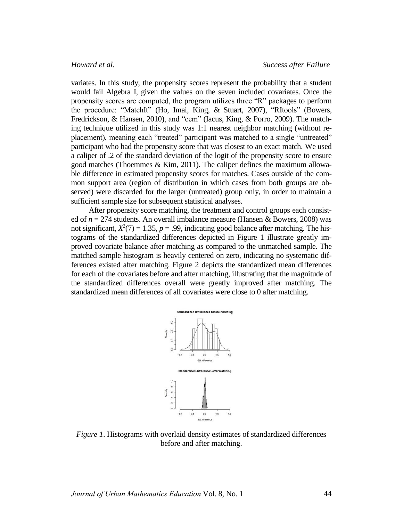variates. In this study, the propensity scores represent the probability that a student would fail Algebra I, given the values on the seven included covariates. Once the propensity scores are computed, the program utilizes three "R" packages to perform the procedure: "MatchIt" (Ho, Imai, King, & Stuart, 2007), "RItools" (Bowers, Fredrickson, & Hansen, 2010), and "cem" (Iacus, King, & Porro, 2009). The matching technique utilized in this study was 1:1 nearest neighbor matching (without replacement), meaning each "treated" participant was matched to a single "untreated" participant who had the propensity score that was closest to an exact match. We used a caliper of .2 of the standard deviation of the logit of the propensity score to ensure good matches (Thoemmes & Kim, 2011). The caliper defines the maximum allowable difference in estimated propensity scores for matches. Cases outside of the common support area (region of distribution in which cases from both groups are observed) were discarded for the larger (untreated) group only, in order to maintain a sufficient sample size for subsequent statistical analyses.

After propensity score matching, the treatment and control groups each consisted of *n* = 274 students. An overall imbalance measure (Hansen & Bowers, 2008) was not significant,  $X^2(7) = 1.35$ ,  $p = .99$ , indicating good balance after matching. The histograms of the standardized differences depicted in Figure 1 illustrate greatly improved covariate balance after matching as compared to the unmatched sample. The matched sample histogram is heavily centered on zero, indicating no systematic differences existed after matching. Figure 2 depicts the standardized mean differences for each of the covariates before and after matching, illustrating that the magnitude of the standardized differences overall were greatly improved after matching. The standardized mean differences of all covariates were close to 0 after matching.



*Figure 1*. Histograms with overlaid density estimates of standardized differences before and after matching.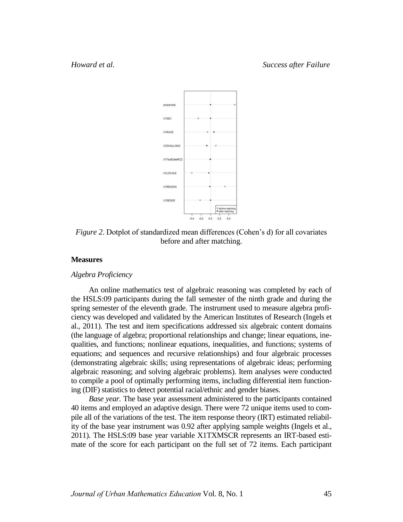

*Figure 2.* Dotplot of standardized mean differences (Cohen's d) for all covariates before and after matching.

### **Measures**

### *Algebra Proficiency*

An online mathematics test of algebraic reasoning was completed by each of the HSLS:09 participants during the fall semester of the ninth grade and during the spring semester of the eleventh grade. The instrument used to measure algebra proficiency was developed and validated by the American Institutes of Research (Ingels et al., 2011). The test and item specifications addressed six algebraic content domains (the language of algebra; proportional relationships and change; linear equations, inequalities, and functions; nonlinear equations, inequalities, and functions; systems of equations; and sequences and recursive relationships) and four algebraic processes (demonstrating algebraic skills; using representations of algebraic ideas; performing algebraic reasoning; and solving algebraic problems). Item analyses were conducted to compile a pool of optimally performing items, including differential item functioning (DIF) statistics to detect potential racial/ethnic and gender biases.

*Base year.* The base year assessment administered to the participants contained 40 items and employed an adaptive design. There were 72 unique items used to compile all of the variations of the test. The item response theory (IRT) estimated reliability of the base year instrument was 0.92 after applying sample weights (Ingels et al., 2011). The HSLS:09 base year variable X1TXMSCR represents an IRT-based estimate of the score for each participant on the full set of 72 items. Each participant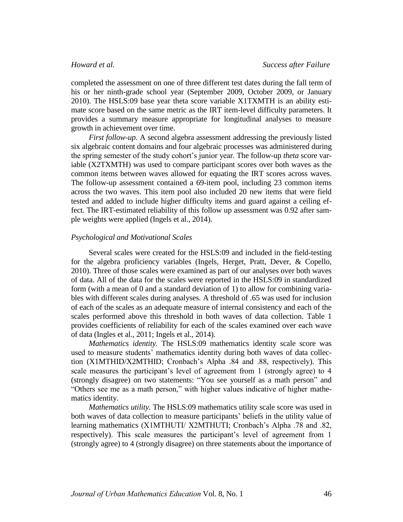completed the assessment on one of three different test dates during the fall term of his or her ninth-grade school year (September 2009, October 2009, or January 2010). The HSLS:09 base year theta score variable X1TXMTH is an ability estimate score based on the same metric as the IRT item-level difficulty parameters. It provides a summary measure appropriate for longitudinal analyses to measure growth in achievement over time.

*First follow-up.* A second algebra assessment addressing the previously listed six algebraic content domains and four algebraic processes was administered during the spring semester of the study cohort's junior year. The follow-up *theta* score variable (X2TXMTH) was used to compare participant scores over both waves as the common items between waves allowed for equating the IRT scores across waves. The follow-up assessment contained a 69-item pool, including 23 common items across the two waves. This item pool also included 20 new items that were field tested and added to include higher difficulty items and guard against a ceiling effect. The IRT-estimated reliability of this follow up assessment was 0.92 after sample weights were applied (Ingels et al., 2014).

# *Psychological and Motivational Scales*

Several scales were created for the HSLS:09 and included in the field-testing for the algebra proficiency variables (Ingels, Herget, Pratt, Dever, & Copello, 2010). Three of those scales were examined as part of our analyses over both waves of data. All of the data for the scales were reported in the HSLS:09 in standardized form (with a mean of 0 and a standard deviation of 1) to allow for combining variables with different scales during analyses. A threshold of .65 was used for inclusion of each of the scales as an adequate measure of internal consistency and each of the scales performed above this threshold in both waves of data collection. Table 1 provides coefficients of reliability for each of the scales examined over each wave of data (Ingles et al., 2011; Ingels et al., 2014).

*Mathematics identity.* The HSLS:09 mathematics identity scale score was used to measure students' mathematics identity during both waves of data collection (X1MTHID/X2MTHID; Cronbach's Alpha .84 and .88, respectively). This scale measures the participant's level of agreement from 1 (strongly agree) to 4 (strongly disagree) on two statements: "You see yourself as a math person" and "Others see me as a math person," with higher values indicative of higher mathematics identity.

*Mathematics utility.* The HSLS:09 mathematics utility scale score was used in both waves of data collection to measure participants' beliefs in the utility value of learning mathematics (X1MTHUTI/ X2MTHUTI; Cronbach's Alpha .78 and .82, respectively). This scale measures the participant's level of agreement from 1 (strongly agree) to 4 (strongly disagree) on three statements about the importance of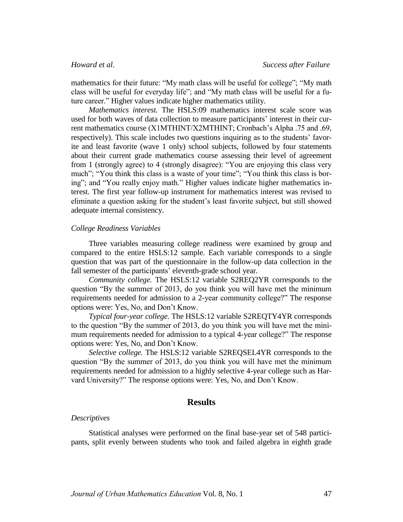mathematics for their future: "My math class will be useful for college"; "My math class will be useful for everyday life"; and "My math class will be useful for a future career." Higher values indicate higher mathematics utility.

*Mathematics interest.* The HSLS:09 mathematics interest scale score was used for both waves of data collection to measure participants' interest in their current mathematics course (X1MTHINT/X2MTHINT; Cronbach's Alpha .75 and .69, respectively). This scale includes two questions inquiring as to the students' favorite and least favorite (wave 1 only) school subjects, followed by four statements about their current grade mathematics course assessing their level of agreement from 1 (strongly agree) to 4 (strongly disagree): "You are enjoying this class very much"; "You think this class is a waste of your time"; "You think this class is boring"; and "You really enjoy math." Higher values indicate higher mathematics interest. The first year follow-up instrument for mathematics interest was revised to eliminate a question asking for the student's least favorite subject, but still showed adequate internal consistency.

# *College Readiness Variables*

Three variables measuring college readiness were examined by group and compared to the entire HSLS:12 sample. Each variable corresponds to a single question that was part of the questionnaire in the follow-up data collection in the fall semester of the participants' eleventh-grade school year.

*Community college.* The HSLS:12 variable S2REQ2YR corresponds to the question "By the summer of 2013, do you think you will have met the minimum requirements needed for admission to a 2-year community college?" The response options were: Yes, No, and Don't Know.

*Typical four-year college.* The HSLS:12 variable S2REQTY4YR corresponds to the question "By the summer of 2013, do you think you will have met the minimum requirements needed for admission to a typical 4-year college?" The response options were: Yes, No, and Don't Know.

*Selective college.* The HSLS:12 variable S2REQSEL4YR corresponds to the question "By the summer of 2013, do you think you will have met the minimum requirements needed for admission to a highly selective 4-year college such as Harvard University?" The response options were: Yes, No, and Don't Know.

# **Results**

# *Descriptives*

Statistical analyses were performed on the final base-year set of 548 participants, split evenly between students who took and failed algebra in eighth grade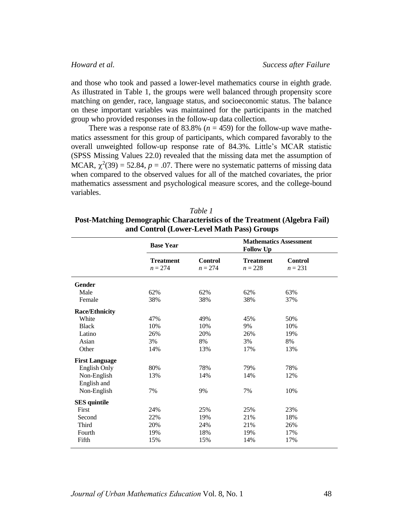and those who took and passed a lower-level mathematics course in eighth grade. As illustrated in Table 1, the groups were well balanced through propensity score matching on gender, race, language status, and socioeconomic status. The balance on these important variables was maintained for the participants in the matched group who provided responses in the follow-up data collection.

There was a response rate of 83.8% ( $n = 459$ ) for the follow-up wave mathematics assessment for this group of participants, which compared favorably to the overall unweighted follow-up response rate of 84.3%. Little's MCAR statistic (SPSS Missing Values 22.0) revealed that the missing data met the assumption of MCAR,  $\chi^2(39) = 52.84$ ,  $p = .07$ . There were no systematic patterns of missing data when compared to the observed values for all of the matched covariates, the prior mathematics assessment and psychological measure scores, and the college-bound variables.

| Table 1                                                                          |
|----------------------------------------------------------------------------------|
| <b>Post-Matching Demographic Characteristics of the Treatment (Algebra Fail)</b> |
| and Control (Lower-Level Math Pass) Groups                                       |

|                       | <b>Base Year</b>              |                             | <b>Mathematics Assessment</b><br><b>Follow Up</b> |                             |
|-----------------------|-------------------------------|-----------------------------|---------------------------------------------------|-----------------------------|
|                       | <b>Treatment</b><br>$n = 274$ | <b>Control</b><br>$n = 274$ | <b>Treatment</b><br>$n = 228$                     | <b>Control</b><br>$n = 231$ |
| <b>Gender</b>         |                               |                             |                                                   |                             |
| Male                  | 62%                           | 62%                         | 62%                                               | 63%                         |
| Female                | 38%                           | 38%                         | 38%                                               | 37%                         |
| <b>Race/Ethnicity</b> |                               |                             |                                                   |                             |
| White                 | 47%                           | 49%                         | 45%                                               | 50%                         |
| <b>Black</b>          | 10%                           | 10%                         | 9%                                                | 10%                         |
| Latino                | 26%                           | 20%                         | 26%                                               | 19%                         |
| Asian                 | 3%                            | 8%                          | 3%                                                | 8%                          |
| Other                 | 14%                           | 13%                         | 17%                                               | 13%                         |
| <b>First Language</b> |                               |                             |                                                   |                             |
| English Only          | 80%                           | 78%                         | 79%                                               | 78%                         |
| Non-English           | 13%                           | 14%                         | 14%                                               | 12%                         |
| English and           |                               |                             |                                                   |                             |
| Non-English           | 7%                            | 9%                          | 7%                                                | 10%                         |
| <b>SES</b> quintile   |                               |                             |                                                   |                             |
| First                 | 24%                           | 25%                         | 25%                                               | 23%                         |
| Second                | 22%                           | 19%                         | 21%                                               | 18%                         |
| Third                 | 20%                           | 24%                         | 21%                                               | 26%                         |
| Fourth                | 19%                           | 18%                         | 19%                                               | 17%                         |
| Fifth                 | 15%                           | 15%                         | 14%                                               | 17%                         |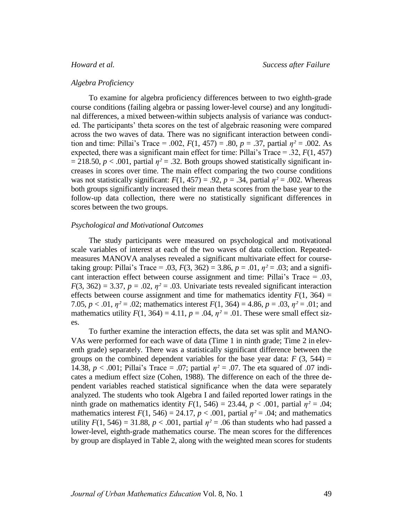# *Algebra Proficiency*

To examine for algebra proficiency differences between to two eighth-grade course conditions (failing algebra or passing lower-level course) and any longitudinal differences, a mixed between-within subjects analysis of variance was conducted. The participants' theta scores on the test of algebraic reasoning were compared across the two waves of data. There was no significant interaction between condition and time: Pillai's Trace = .002,  $F(1, 457) = .80$ ,  $p = .37$ , partial  $\eta^2 = .002$ . As expected, there was a significant main effect for time: Pillai's Trace  $= .32, F(1, 457)$  $= 218.50, p < .001$ , partial  $\eta^2 = .32$ . Both groups showed statistically significant increases in scores over time. The main effect comparing the two course conditions was not statistically significant:  $F(1, 457) = .92$ ,  $p = .34$ , partial  $\eta^2 = .002$ . Whereas both groups significantly increased their mean theta scores from the base year to the follow-up data collection, there were no statistically significant differences in scores between the two groups.

# *Psychological and Motivational Outcomes*

The study participants were measured on psychological and motivational scale variables of interest at each of the two waves of data collection. Repeatedmeasures MANOVA analyses revealed a significant multivariate effect for coursetaking group: Pillai's Trace = .03,  $F(3, 362) = 3.86$ ,  $p = .01$ ,  $\eta^2 = .03$ ; and a significant interaction effect between course assignment and time: Pillai's Trace = .03,  $F(3, 362) = 3.37, p = .02, \eta^2 = .03$ . Univariate tests revealed significant interaction effects between course assignment and time for mathematics identity  $F(1, 364) =$ 7.05,  $p < .01$ ,  $\eta^2 = .02$ ; mathematics interest  $F(1, 364) = 4.86$ ,  $p = .03$ ,  $\eta^2 = .01$ ; and mathematics utility  $F(1, 364) = 4.11$ ,  $p = .04$ ,  $\eta^2 = .01$ . These were small effect sizes.

To further examine the interaction effects, the data set was split and MANO-VAs were performed for each wave of data (Time 1 in ninth grade; Time 2 in eleventh grade) separately. There was a statistically significant difference between the groups on the combined dependent variables for the base year data:  $F(3, 544) =$ 14.38,  $p < .001$ ; Pillai's Trace = .07; partial  $\eta^2 = .07$ . The eta squared of .07 indicates a medium effect size (Cohen, 1988). The difference on each of the three dependent variables reached statistical significance when the data were separately analyzed. The students who took Algebra I and failed reported lower ratings in the ninth grade on mathematics identity  $F(1, 546) = 23.44$ ,  $p < .001$ , partial  $\eta^2 = .04$ ; mathematics interest  $F(1, 546) = 24.17$ ,  $p < .001$ , partial  $\eta^2 = .04$ ; and mathematics utility  $F(1, 546) = 31.88$ ,  $p < .001$ , partial  $\eta^2 = .06$  than students who had passed a lower-level, eighth-grade mathematics course. The mean scores for the differences by group are displayed in Table 2, along with the weighted mean scores for students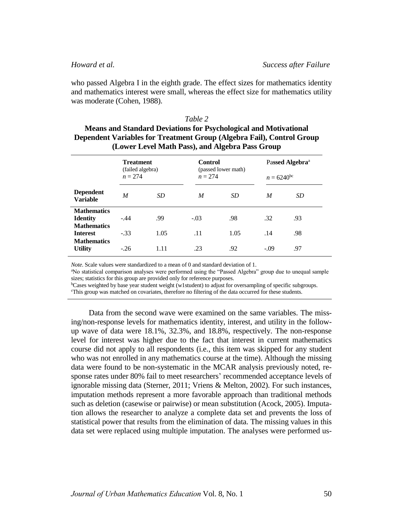who passed Algebra I in the eighth grade. The effect sizes for mathematics identity and mathematics interest were small, whereas the effect size for mathematics utility was moderate (Cohen, 1988).

# *Table 2*

# **Means and Standard Deviations for Psychological and Motivational Dependent Variables for Treatment Group (Algebra Fail), Control Group (Lower Level Math Pass), and Algebra Pass Group**

|                                                                                                      | <b>Treatment</b><br>(failed algebra)<br>$n = 274$ |             | <b>Control</b><br>(passed lower math)<br>$n = 274$ |             | Passed Algebra <sup>a</sup><br>$n = 6240^{\rm bc}$ |            |
|------------------------------------------------------------------------------------------------------|---------------------------------------------------|-------------|----------------------------------------------------|-------------|----------------------------------------------------|------------|
| <b>Dependent</b><br><b>Variable</b>                                                                  | M                                                 | <i>SD</i>   | M                                                  | SD          | M                                                  | SD         |
| <b>Mathematics</b><br><b>Identity</b><br><b>Mathematics</b><br><b>Interest</b><br><b>Mathematics</b> | $-.44$<br>$-.33$                                  | .99<br>1.05 | $-.03$<br>.11                                      | .98<br>1.05 | .32<br>.14                                         | .93<br>.98 |
| <b>Utility</b>                                                                                       | $-.26$                                            | 1.11        | .23                                                | .92         | $-.09$                                             | .97        |

*Note*. Scale values were standardized to a mean of 0 and standard deviation of 1.

<sup>a</sup>No statistical comparison analyses were performed using the "Passed Algebra" group due to unequal sample sizes; statistics for this group are provided only for reference purposes.

<sup>b</sup>Cases weighted by base year student weight (w1student) to adjust for oversampling of specific subgroups.

<sup>c</sup>This group was matched on covariates, therefore no filtering of the data occurred for these students.

Data from the second wave were examined on the same variables. The missing/non-response levels for mathematics identity, interest, and utility in the followup wave of data were 18.1%, 32.3%, and 18.8%, respectively. The non-response level for interest was higher due to the fact that interest in current mathematics course did not apply to all respondents (i.e., this item was skipped for any student who was not enrolled in any mathematics course at the time). Although the missing data were found to be non-systematic in the MCAR analysis previously noted, response rates under 80% fail to meet researchers' recommended acceptance levels of ignorable missing data (Sterner, 2011; Vriens & Melton, 2002). For such instances, imputation methods represent a more favorable approach than traditional methods such as deletion (casewise or pairwise) or mean substitution (Acock, 2005). Imputation allows the researcher to analyze a complete data set and prevents the loss of statistical power that results from the elimination of data. The missing values in this data set were replaced using multiple imputation. The analyses were performed us-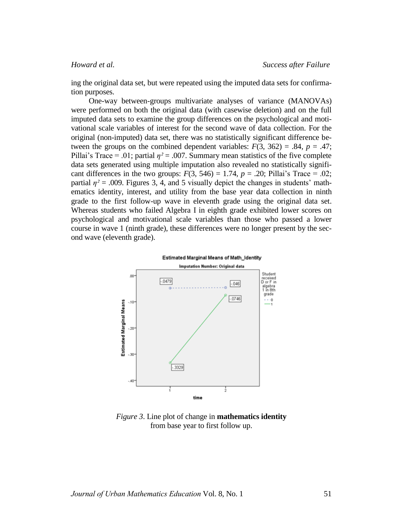ing the original data set, but were repeated using the imputed data sets for confirmation purposes.

One-way between-groups multivariate analyses of variance (MANOVAs) were performed on both the original data (with casewise deletion) and on the full imputed data sets to examine the group differences on the psychological and motivational scale variables of interest for the second wave of data collection. For the original (non-imputed) data set, there was no statistically significant difference between the groups on the combined dependent variables:  $F(3, 362) = .84$ ,  $p = .47$ ; Pillai's Trace = .01; partial  $\eta^2$  = .007. Summary mean statistics of the five complete data sets generated using multiple imputation also revealed no statistically significant differences in the two groups:  $F(3, 546) = 1.74$ ,  $p = .20$ ; Pillai's Trace = .02; partial  $\eta^2$  = .009. Figures 3, 4, and 5 visually depict the changes in students' mathematics identity, interest, and utility from the base year data collection in ninth grade to the first follow-up wave in eleventh grade using the original data set. Whereas students who failed Algebra I in eighth grade exhibited lower scores on psychological and motivational scale variables than those who passed a lower course in wave 1 (ninth grade), these differences were no longer present by the second wave (eleventh grade).



*Figure 3*. Line plot of change in **mathematics identity** from base year to first follow up.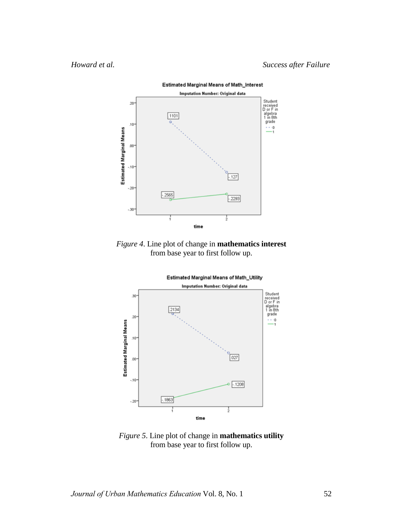*Howard et al. Success after Failure*



*Figure 4*. Line plot of change in **mathematics interest**

from base year to first follow up.



*Figure 5*. Line plot of change in **mathematics utility** from base year to first follow up.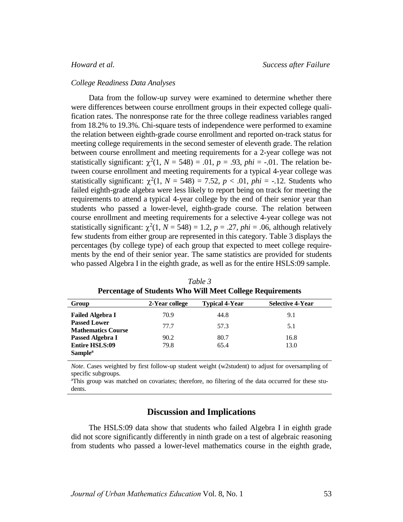### *College Readiness Data Analyses*

Data from the follow-up survey were examined to determine whether there were differences between course enrollment groups in their expected college qualification rates. The nonresponse rate for the three college readiness variables ranged from 18.2% to 19.3%. Chi-square tests of independence were performed to examine the relation between eighth-grade course enrollment and reported on-track status for meeting college requirements in the second semester of eleventh grade. The relation between course enrollment and meeting requirements for a 2-year college was not statistically significant:  $\chi^2(1, N = 548) = .01$ ,  $p = .93$ ,  $phi = -.01$ . The relation between course enrollment and meeting requirements for a typical 4-year college was statistically significant:  $\chi^2(1, N = 548) = 7.52$ ,  $p < .01$ ,  $phi = -.12$ . Students who failed eighth-grade algebra were less likely to report being on track for meeting the requirements to attend a typical 4-year college by the end of their senior year than students who passed a lower-level, eighth-grade course. The relation between course enrollment and meeting requirements for a selective 4-year college was not statistically significant:  $\chi^2(1, N = 548) = 1.2$ ,  $p = .27$ ,  $phi = .06$ , although relatively few students from either group are represented in this category. Table 3 displays the percentages (by college type) of each group that expected to meet college requirements by the end of their senior year. The same statistics are provided for students who passed Algebra I in the eighth grade, as well as for the entire HSLS:09 sample.

| Group                                            | 2-Year college | <b>Typical 4-Year</b> | <b>Selective 4-Year</b> |
|--------------------------------------------------|----------------|-----------------------|-------------------------|
| <b>Failed Algebra I</b>                          | 70.9           | 44.8                  | 9.1                     |
| <b>Passed Lower</b><br><b>Mathematics Course</b> | 77.7           | 57.3                  | 5.1                     |
| Passed Algebra I                                 | 90.2           | 80.7                  | 16.8                    |
| <b>Entire HSLS:09</b>                            | 79.8           | 65.4                  | 13.0                    |
| Sample <sup>a</sup>                              |                |                       |                         |

*Table 3* **Percentage of Students Who Will Meet College Requirements**

*Note*. Cases weighted by first follow-up student weight (w2student) to adjust for oversampling of specific subgroups.

<sup>aThis</sup> group was matched on covariates; therefore, no filtering of the data occurred for these students.

# **Discussion and Implications**

The HSLS:09 data show that students who failed Algebra I in eighth grade did not score significantly differently in ninth grade on a test of algebraic reasoning from students who passed a lower-level mathematics course in the eighth grade,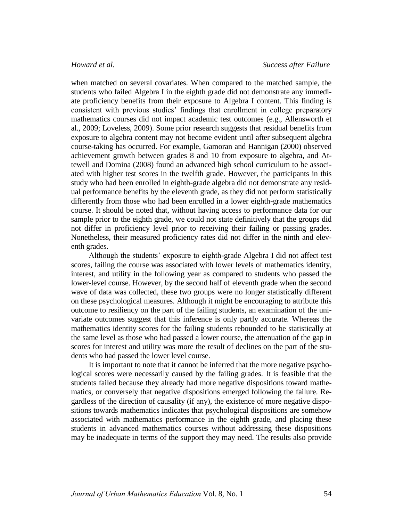when matched on several covariates. When compared to the matched sample, the students who failed Algebra I in the eighth grade did not demonstrate any immediate proficiency benefits from their exposure to Algebra I content. This finding is consistent with previous studies' findings that enrollment in college preparatory mathematics courses did not impact academic test outcomes (e.g., Allensworth et al., 2009; Loveless, 2009). Some prior research suggests that residual benefits from exposure to algebra content may not become evident until after subsequent algebra course-taking has occurred. For example, Gamoran and Hannigan (2000) observed achievement growth between grades 8 and 10 from exposure to algebra, and Attewell and Domina (2008) found an advanced high school curriculum to be associated with higher test scores in the twelfth grade. However, the participants in this study who had been enrolled in eighth-grade algebra did not demonstrate any residual performance benefits by the eleventh grade, as they did not perform statistically differently from those who had been enrolled in a lower eighth-grade mathematics course. It should be noted that, without having access to performance data for our sample prior to the eighth grade, we could not state definitively that the groups did not differ in proficiency level prior to receiving their failing or passing grades. Nonetheless, their measured proficiency rates did not differ in the ninth and eleventh grades.

Although the students' exposure to eighth-grade Algebra I did not affect test scores, failing the course was associated with lower levels of mathematics identity, interest, and utility in the following year as compared to students who passed the lower-level course. However, by the second half of eleventh grade when the second wave of data was collected, these two groups were no longer statistically different on these psychological measures. Although it might be encouraging to attribute this outcome to resiliency on the part of the failing students, an examination of the univariate outcomes suggest that this inference is only partly accurate. Whereas the mathematics identity scores for the failing students rebounded to be statistically at the same level as those who had passed a lower course, the attenuation of the gap in scores for interest and utility was more the result of declines on the part of the students who had passed the lower level course.

It is important to note that it cannot be inferred that the more negative psychological scores were necessarily caused by the failing grades. It is feasible that the students failed because they already had more negative dispositions toward mathematics, or conversely that negative dispositions emerged following the failure. Regardless of the direction of causality (if any), the existence of more negative dispositions towards mathematics indicates that psychological dispositions are somehow associated with mathematics performance in the eighth grade, and placing these students in advanced mathematics courses without addressing these dispositions may be inadequate in terms of the support they may need. The results also provide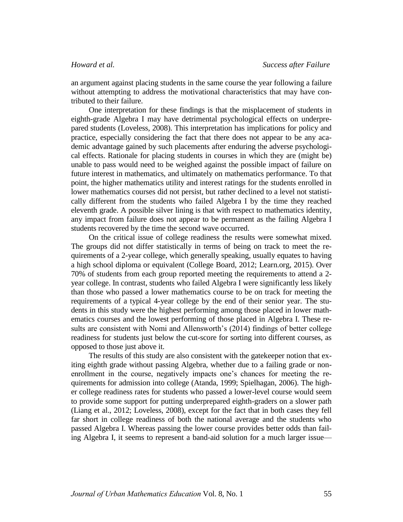an argument against placing students in the same course the year following a failure without attempting to address the motivational characteristics that may have contributed to their failure.

One interpretation for these findings is that the misplacement of students in eighth-grade Algebra I may have detrimental psychological effects on underprepared students (Loveless, 2008). This interpretation has implications for policy and practice, especially considering the fact that there does not appear to be any academic advantage gained by such placements after enduring the adverse psychological effects. Rationale for placing students in courses in which they are (might be) unable to pass would need to be weighed against the possible impact of failure on future interest in mathematics, and ultimately on mathematics performance. To that point, the higher mathematics utility and interest ratings for the students enrolled in lower mathematics courses did not persist, but rather declined to a level not statistically different from the students who failed Algebra I by the time they reached eleventh grade. A possible silver lining is that with respect to mathematics identity, any impact from failure does not appear to be permanent as the failing Algebra I students recovered by the time the second wave occurred.

On the critical issue of college readiness the results were somewhat mixed. The groups did not differ statistically in terms of being on track to meet the requirements of a 2-year college, which generally speaking, usually equates to having a high school diploma or equivalent (College Board, 2012; Learn.org, 2015). Over 70% of students from each group reported meeting the requirements to attend a 2 year college. In contrast, students who failed Algebra I were significantly less likely than those who passed a lower mathematics course to be on track for meeting the requirements of a typical 4-year college by the end of their senior year. The students in this study were the highest performing among those placed in lower mathematics courses and the lowest performing of those placed in Algebra I. These results are consistent with Nomi and Allensworth's (2014) findings of better college readiness for students just below the cut-score for sorting into different courses, as opposed to those just above it.

The results of this study are also consistent with the gatekeeper notion that exiting eighth grade without passing Algebra, whether due to a failing grade or nonenrollment in the course, negatively impacts one's chances for meeting the requirements for admission into college (Atanda, 1999; Spielhagan, 2006). The higher college readiness rates for students who passed a lower-level course would seem to provide some support for putting underprepared eighth-graders on a slower path (Liang et al., 2012; Loveless, 2008), except for the fact that in both cases they fell far short in college readiness of both the national average and the students who passed Algebra I. Whereas passing the lower course provides better odds than failing Algebra I, it seems to represent a band-aid solution for a much larger issue—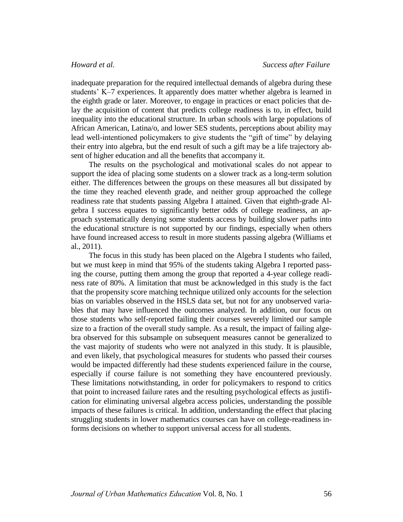inadequate preparation for the required intellectual demands of algebra during these students' K–7 experiences. It apparently does matter whether algebra is learned in the eighth grade or later. Moreover, to engage in practices or enact policies that delay the acquisition of content that predicts college readiness is to, in effect, build inequality into the educational structure. In urban schools with large populations of African American, Latina/o, and lower SES students, perceptions about ability may lead well-intentioned policymakers to give students the "gift of time" by delaying their entry into algebra, but the end result of such a gift may be a life trajectory absent of higher education and all the benefits that accompany it.

The results on the psychological and motivational scales do not appear to support the idea of placing some students on a slower track as a long-term solution either. The differences between the groups on these measures all but dissipated by the time they reached eleventh grade, and neither group approached the college readiness rate that students passing Algebra I attained. Given that eighth-grade Algebra I success equates to significantly better odds of college readiness, an approach systematically denying some students access by building slower paths into the educational structure is not supported by our findings, especially when others have found increased access to result in more students passing algebra (Williams et al., 2011).

The focus in this study has been placed on the Algebra I students who failed, but we must keep in mind that 95% of the students taking Algebra I reported passing the course, putting them among the group that reported a 4-year college readiness rate of 80%. A limitation that must be acknowledged in this study is the fact that the propensity score matching technique utilized only accounts for the selection bias on variables observed in the HSLS data set, but not for any unobserved variables that may have influenced the outcomes analyzed. In addition, our focus on those students who self-reported failing their courses severely limited our sample size to a fraction of the overall study sample. As a result, the impact of failing algebra observed for this subsample on subsequent measures cannot be generalized to the vast majority of students who were not analyzed in this study. It is plausible, and even likely, that psychological measures for students who passed their courses would be impacted differently had these students experienced failure in the course, especially if course failure is not something they have encountered previously. These limitations notwithstanding, in order for policymakers to respond to critics that point to increased failure rates and the resulting psychological effects as justification for eliminating universal algebra access policies, understanding the possible impacts of these failures is critical. In addition, understanding the effect that placing struggling students in lower mathematics courses can have on college-readiness informs decisions on whether to support universal access for all students.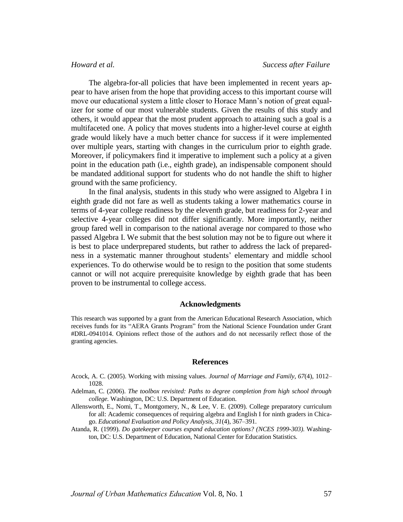The algebra-for-all policies that have been implemented in recent years appear to have arisen from the hope that providing access to this important course will move our educational system a little closer to Horace Mann's notion of great equalizer for some of our most vulnerable students. Given the results of this study and others, it would appear that the most prudent approach to attaining such a goal is a multifaceted one. A policy that moves students into a higher-level course at eighth grade would likely have a much better chance for success if it were implemented over multiple years, starting with changes in the curriculum prior to eighth grade. Moreover, if policymakers find it imperative to implement such a policy at a given point in the education path (i.e., eighth grade), an indispensable component should be mandated additional support for students who do not handle the shift to higher ground with the same proficiency.

In the final analysis, students in this study who were assigned to Algebra I in eighth grade did not fare as well as students taking a lower mathematics course in terms of 4-year college readiness by the eleventh grade, but readiness for 2-year and selective 4-year colleges did not differ significantly. More importantly, neither group fared well in comparison to the national average nor compared to those who passed Algebra I. We submit that the best solution may not be to figure out where it is best to place underprepared students, but rather to address the lack of preparedness in a systematic manner throughout students' elementary and middle school experiences. To do otherwise would be to resign to the position that some students cannot or will not acquire prerequisite knowledge by eighth grade that has been proven to be instrumental to college access.

### **Acknowledgments**

This research was supported by a grant from the American Educational Research Association, which receives funds for its "AERA Grants Program" from the National Science Foundation under Grant #DRL-0941014. Opinions reflect those of the authors and do not necessarily reflect those of the granting agencies.

### **References**

- Acock, A. C. (2005). Working with missing values. *Journal of Marriage and Family, 67*(4), 1012– 1028.
- Adelman, C. (2006). *The toolbox revisited: Paths to degree completion from high school through college.* Washington, DC: U.S. Department of Education.
- Allensworth, E., Nomi, T., Montgomery, N., & Lee, V. E. (2009). College preparatory curriculum for all: Academic consequences of requiring algebra and English I for ninth graders in Chicago. *Educational Evaluation and Policy Analysis, 31*(4), 367–391.
- Atanda, R. (1999). *Do gatekeeper courses expand education options? (NCES 1999-303)*. Washington, DC: U.S. Department of Education, National Center for Education Statistics.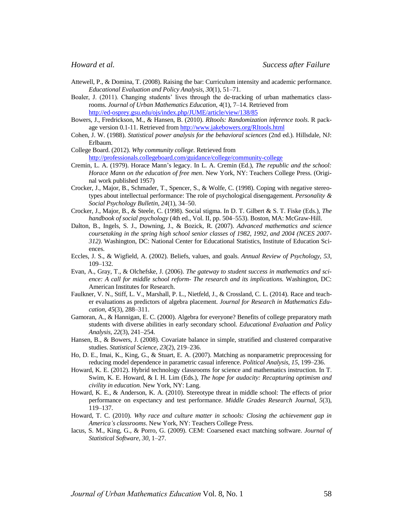- Attewell, P., & Domina, T. (2008). Raising the bar: Curriculum intensity and academic performance. *Educational Evaluation and Policy Analysis, 30*(1), 51–71.
- Boaler, J. (2011). Changing students' lives through the de-tracking of urban mathematics classrooms. *Journal of Urban Mathematics Education*, *4*(1), 7–14. Retrieved from <http://ed-osprey.gsu.edu/ojs/index.php/JUME/article/view/138/85>
- Bowers, J., Fredrickson, M., & Hansen, B. (2010). *RItools: Randomization inference tools*. R package version 0.1-11. Retrieved from<http://www.jakebowers.org/RItools.html>
- Cohen, J. W. (1988). *Statistical power analysis for the behavioral sciences* (2nd ed.). Hillsdale, NJ: Erlbaum.
- College Board. (2012). *Why community college*. Retrieved from <http://professionals.collegeboard.com/guidance/college/community-college>
- Cremin, L. A. (1979). Horace Mann's legacy. In L. A. Cremin (Ed.), *The republic and the school: Horace Mann on the education of free men*. New York, NY: Teachers College Press. (Original work published 1957)
- Crocker, J., Major, B., Schmader, T., Spencer, S., & Wolfe, C. (1998). Coping with negative stereotypes about intellectual performance: The role of psychological disengagement. *Personality & Social Psychology Bulletin, 24*(1), 34–50.
- Crocker, J., Major, B., & Steele, C. (1998). Social stigma. In D. T. Gilbert & S. T. Fiske (Eds.), *The handbook of social psychology* (4th ed., Vol. II, pp. 504–553). Boston, MA: McGraw-Hill.
- Dalton, B., Ingels, S. J., Downing, J., & Bozick, R. (2007). *Advanced mathematics and science coursetaking in the spring high school senior classes of 1982, 1992, and 2004 (NCES 2007- 312)*. Washington, DC: National Center for Educational Statistics, Institute of Education Sciences.
- Eccles, J. S., & Wigfield, A. (2002). Beliefs, values, and goals. *Annual Review of Psychology, 53*, 109–132.
- Evan, A., Gray, T., & Olchefske, J. (2006). *The gateway to student success in mathematics and science: A call for middle school reform- The research and its implications.* Washington, DC: American Institutes for Research.
- Faulkner, V. N., Stiff, L. V., Marshall, P. L., Nietfeld, J., & Crossland, C. L. (2014). Race and teacher evaluations as predictors of algebra placement. *Journal for Research in Mathematics Education, 45*(3), 288–311.
- Gamoran, A., & Hannigan, E. C. (2000). Algebra for everyone? Benefits of college preparatory math students with diverse abilities in early secondary school. *Educational Evaluation and Policy Analysis, 22*(3), 241–254.
- Hansen, B., & Bowers, J. (2008). Covariate balance in simple, stratified and clustered comparative studies. *Statistical Science, 23*(2), 219–236.
- Ho, D. E., Imai, K., King, G., & Stuart, E. A. (2007). Matching as nonparametric preprocessing for reducing model dependence in parametric casual inference. *Political Analysis, 15*, 199–236.
- Howard, K. E. (2012). Hybrid technology classrooms for science and mathematics instruction. In T. Swim, K. E. Howard, & I. H. Lim (Eds.), *The hope for audacity: Recapturing optimism and civility in education.* New York, NY: Lang.
- Howard, K. E., & Anderson, K. A. (2010). Stereotype threat in middle school: The effects of prior performance on expectancy and test performance. *Middle Grades Research Journal, 5*(3), 119–137.
- Howard, T. C. (2010). *Why race and culture matter in schools: Closing the achievement gap in America's classrooms*. New York, NY: Teachers College Press.
- Iacus, S. M., King, G., & Porro, G. (2009). CEM: Coarsened exact matching software. *Journal of Statistical Software, 30*, 1–27.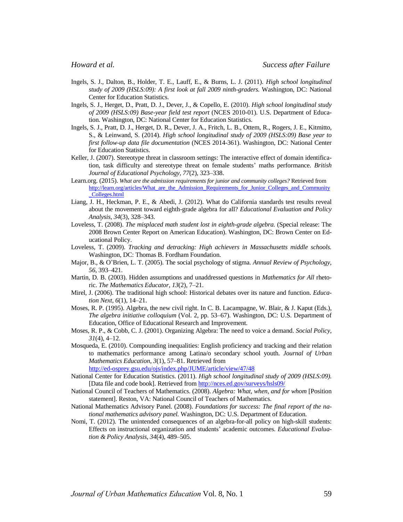- Ingels, S. J., Dalton, B., Holder, T. E., Lauff, E., & Burns, L. J. (2011). *High school longitudinal study of 2009 (HSLS:09): A first look at fall 2009 ninth-graders.* Washington, DC: National Center for Education Statistics.
- Ingels, S. J., Herget, D., Pratt, D. J., Dever, J., & Copello, E. (2010). *High school longitudinal study of 2009 (HSLS:09) Base-year field test report* (NCES 2010-01). U.S. Department of Education. Washington, DC: National Center for Education Statistics.
- Ingels, S. J., Pratt, D. J., Herget, D. R., Dever, J. A., Fritch, L. B., Ottem, R., Rogers, J. E., Kitmitto, S., & Leinwand, S. (2014). *High school longitudinal study of 2009 (HSLS:09) Base year to first follow-up data file documentation* (NCES 2014-361). Washington, DC: National Center for Education Statistics.
- Keller, J. (2007). Stereotype threat in classroom settings: The interactive effect of domain identification, task difficulty and stereotype threat on female students' maths performance. *British Journal of Educational Psychology, 77*(2), 323–338.
- Learn.org. (2015). *What are the admission requirements for junior and community colleges?* Retrieved from [http://learn.org/articles/What\\_are\\_the\\_Admission\\_Requirements\\_for\\_Junior\\_Colleges\\_and\\_Community](http://learn.org/articles/What_are_the_Admission_Requirements_for_Junior_Colleges_and_Community_Colleges.html) [\\_Colleges.html](http://learn.org/articles/What_are_the_Admission_Requirements_for_Junior_Colleges_and_Community_Colleges.html)
- Liang, J. H., Heckman, P. E., & Abedi, J. (2012). What do California standards test results reveal about the movement toward eighth-grade algebra for all? *Educational Evaluation and Policy Analysis, 34*(3), 328–343.
- Loveless, T. (2008). *The misplaced math student lost in eighth-grade algebra.* (Special release: The 2008 Brown Center Report on American Education). Washington, DC: Brown Center on Educational Policy.
- Loveless, T. (2009). *Tracking and detracking: High achievers in Massachusetts middle schools.* Washington, DC: Thomas B. Fordham Foundation.
- Major, B., & O'Brien, L. T. (2005). The social psychology of stigma. *Annual Review of Psychology, 56*, 393–421.
- Martin, D. B. (2003). Hidden assumptions and unaddressed questions in *Mathematics for All* rhetoric. *The Mathematics Educator, 13*(2), 7–21.
- Mirel, J. (2006). The traditional high school: Historical debates over its nature and function. *Education Next, 6*(1), 14–21.
- Moses, R. P. (1995). Algebra, the new civil right. In C. B. Lacampagne, W. Blair, & J. Kaput (Eds.), *The algebra initiative colloquium* (Vol. 2, pp. 53–67). Washington, DC: U.S. Department of Education, Office of Educational Research and Improvement.
- Moses, R. P., & Cobb, C. J. (2001). Organizing Algebra: The need to voice a demand. *Social Policy, 31*(4), 4–12.
- Mosqueda, E. (2010). Compounding inequalities: English proficiency and tracking and their relation to mathematics performance among Latina/o secondary school youth. *Journal of Urban Mathematics Education*, *3*(1), 57–81. Retrieved from

<http://ed-osprey.gsu.edu/ojs/index.php/JUME/article/view/47/48>

- National Center for Education Statistics. (2011). *High school longitudinal study of 2009 (HSLS:09).* [Data file and code book]. Retrieved fro[m http://nces.ed.gov/surveys/hsls09/](http://nces.ed.gov/surveys/hsls09/)
- National Council of Teachers of Mathematics. (2008). *Algebra: What, when, and for whom* [Position statement]. Reston, VA: National Council of Teachers of Mathematics.
- National Mathematics Advisory Panel. (2008). *Foundations for success: The final report of the national mathematics advisory panel.* Washington, DC: U.S. Department of Education.
- Nomi, T. (2012). The unintended consequences of an algebra-for-all policy on high-skill students: Effects on instructional organization and students' academic outcomes. *Educational Evaluation & Policy Analysis, 34*(4), 489–505.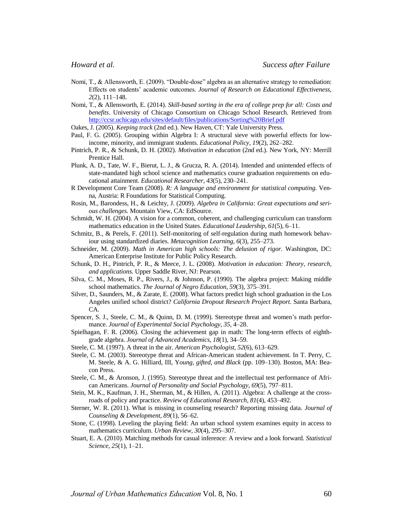- Nomi, T., & Allensworth, E. (2009). "Double-dose" algebra as an alternative strategy to remediation: Effects on students' academic outcomes. *Journal of Research on Educational Effectiveness, 2*(2), 111–148.
- Nomi, T., & Allensworth, E. (2014). *Skill-based sorting in the era of college prep for all: Costs and benefits*. University of Chicago Consortium on Chicago School Research. Retrieved from <http://ccsr.uchicago.edu/sites/default/files/publications/Sorting%20Brief.pdf>
- Oakes, J. (2005). *Keeping track* (2nd ed.). New Haven, CT: Yale University Press.
- Paul, F. G. (2005). Grouping within Algebra I: A structural sieve with powerful effects for lowincome, minority, and immigrant students. *Educational Policy, 19*(2), 262–282.
- Pintrich, P. R., & Schunk, D. H. (2002). *Motivation in education* (2nd ed.). New York, NY: Merrill Prentice Hall.
- Plunk, A. D., Tate, W. F., Bierut, L. J., & Grucza, R. A. (2014). Intended and unintended effects of state-mandated high school science and mathematics course graduation requirements on educational attainment. *Educational Researcher, 43*(5), 230–241.
- R Development Core Team (2008). *R: A language and environment for statistical computing.* Venna, Austria: R Foundations for Statistical Computing.
- Rosin, M., Barondess, H., & Leichty, J. (2009). *Algebra in California: Great expectations and serious challenges.* Mountain View, CA: EdSource.
- Schmidt, W. H. (2004). A vision for a common, coherent, and challenging curriculum can transform mathematics education in the United States. *Educational Leadership*, *61*(5), 6–11.
- Schmitz, B., & Perels, F. (2011). Self-monitoring of self-regulation during math homework behaviour using standardized diaries. *Metacognition Learning, 6*(3), 255–273.
- Schneider, M. (2009). *Math in American high schools: The delusion of rigor.* Washington, DC: American Enterprise Institute for Public Policy Research.
- Schunk, D. H., Pintrich, P. R., & Meece, J. L. (2008). *Motivation in education: Theory, research, and applications.* Upper Saddle River, NJ: Pearson.
- Silva, C. M., Moses, R. P., Rivers, J., & Johnson, P. (1990). The algebra project: Making middle school mathematics. *The Journal of Negro Education, 59*(3), 375–391.
- Silver, D., Saunders, M., & Zarate, E. (2008). What factors predict high school graduation in the Los Angeles unified school district? *California Dropout Research Project Report*. Santa Barbara, CA.
- Spencer, S. J., Steele, C. M., & Quinn, D. M. (1999). Stereotype threat and women's math performance. *Journal of Experimental Social Psychology, 35*, 4–28.
- Spielhagan, F. R. (2006). Closing the achievement gap in math: The long-term effects of eighthgrade algebra. *Journal of Advanced Academics, 18*(1), 34–59.
- Steele, C. M. (1997). A threat in the air. *American Psychologist, 52*(6), 613–629.
- Steele, C. M. (2003). Stereotype threat and African-American student achievement. In T. Perry, C. M. Steele, & A. G. Hilliard, III, Y*oung, gifted, and Black* (pp. 109–130). Boston, MA: Beacon Press.
- Steele, C. M., & Aronson, J. (1995). Stereotype threat and the intellectual test performance of African Americans. *Journal of Personality and Social Psychology, 69*(5), 797–811.
- Stein, M. K., Kaufman, J. H., Sherman, M., & Hillen, A. (2011). Algebra: A challenge at the crossroads of policy and practice. *Review of Educational Research, 81*(4), 453–492.
- Sterner, W. R. (2011). What is missing in counseling research? Reporting missing data. *Journal of Counseling & Development, 89*(1)*,* 56–62.
- Stone, C. (1998). Leveling the playing field: An urban school system examines equity in access to mathematics curriculum. *Urban Review, 30*(4), 295–307.
- Stuart, E. A. (2010). Matching methods for casual inference: A review and a look forward. *Statistical Science, 25*(1), 1–21.